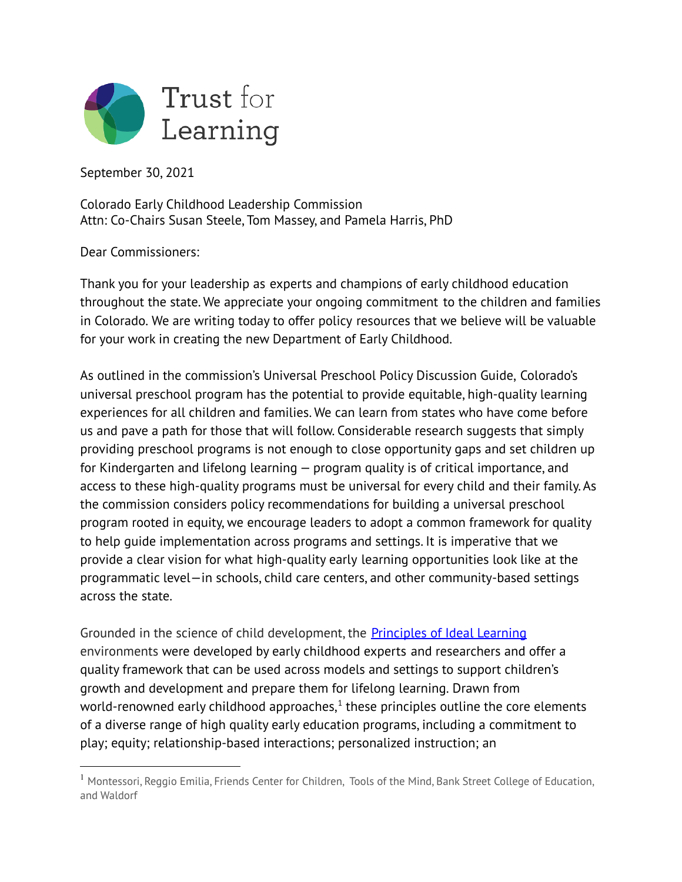

September 30, 2021

Colorado Early Childhood Leadership Commission Attn: Co-Chairs Susan Steele, Tom Massey, and Pamela Harris, PhD

Dear Commissioners:

Thank you for your leadership as experts and champions of early childhood education throughout the state. We appreciate your ongoing commitment to the children and families in Colorado. We are writing today to offer policy resources that we believe will be valuable for your work in creating the new Department of Early Childhood.

As outlined in the commission's Universal Preschool Policy Discussion Guide, Colorado's universal preschool program has the potential to provide equitable, high-quality learning experiences for all children and families. We can learn from states who have come before us and pave a path for those that will follow. Considerable research suggests that simply providing preschool programs is not enough to close opportunity gaps and set children up for Kindergarten and lifelong learning — program quality is of critical importance, and access to these high-quality programs must be universal for every child and their family. As the commission considers policy recommendations for building a universal preschool program rooted in equity, we encourage leaders to adopt a common framework for quality to help guide implementation across programs and settings. It is imperative that we provide a clear vision for what high-quality early learning opportunities look like at the programmatic level—in schools, child care centers, and other community-based settings across the state.

Grounded in the science of child development, the [Principles](https://trustforlearning.org/explore-ideal-learning/principles/) of Ideal Learning environments were developed by early childhood experts and researchers and offer a quality framework that can be used across models and settings to support children's growth and development and prepare them for lifelong learning. Drawn from world-renowned early childhood approaches, $^{\rm 1}$  these principles outline the core elements of a diverse range of high quality early education programs, including a commitment to play; equity; relationship-based interactions; personalized instruction; an

<sup>&</sup>lt;sup>1</sup> Montessori, Reggio Emilia, Friends Center for Children, Tools of the Mind, Bank Street College of Education, and Waldorf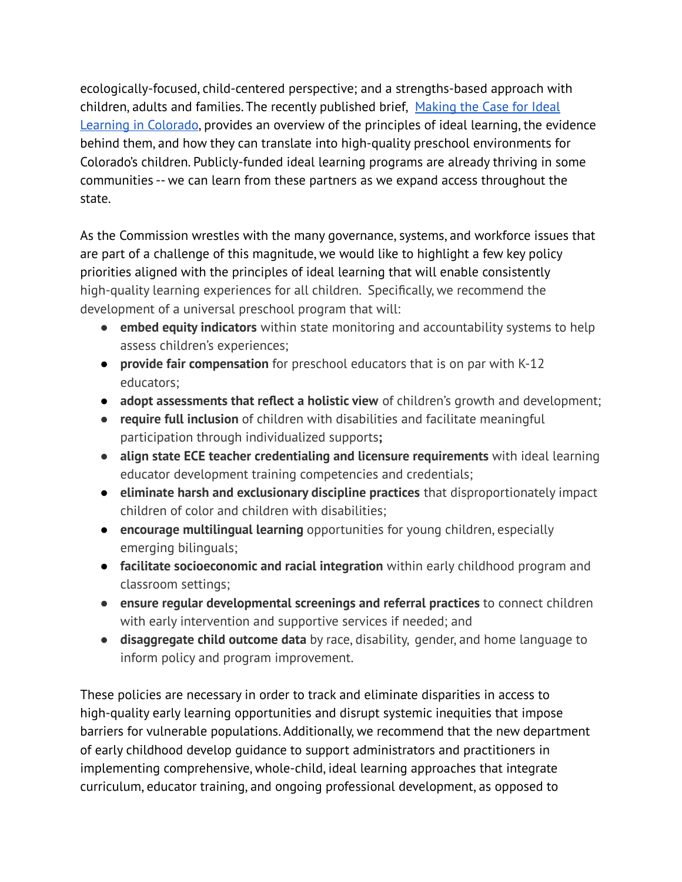ecologically-focused, child-centered perspective; and a strengths-based approach with children, adults and families. The recently published brief, [Making](https://earlymilestones.org/wp-content/uploads/2021/01/Making-the-Case-for-Ideal-Learning.pdf) the Case for Ideal Learning in [Colorado](https://earlymilestones.org/wp-content/uploads/2021/01/Making-the-Case-for-Ideal-Learning.pdf), provides an overview of the principles of ideal learning, the evidence behind them, and how they can translate into high-quality preschool environments for Colorado's children. Publicly-funded ideal learning programs are already thriving in some communities -- we can learn from these partners as we expand access throughout the state.

As the Commission wrestles with the many governance, systems, and workforce issues that are part of a challenge of this magnitude, we would like to highlight a few key policy priorities aligned with the principles of ideal learning that will enable consistently high-quality learning experiences for all children. Specifically, we recommend the development of a universal preschool program that will:

- **embed equity indicators** within state monitoring and accountability systems to help assess children's experiences;
- **provide fair compensation** for preschool educators that is on par with K-12 educators;
- **adopt assessments that reflect a holistic view** of children's growth and development;
- **● require full inclusion** of children with disabilities and facilitate meaningful participation through individualized supports**;**
- **align state ECE teacher credentialing and licensure requirements** with ideal learning educator development training competencies and credentials;
- **eliminate harsh and exclusionary discipline practices** that disproportionately impact children of color and children with disabilities;
- **encourage multilingual learning** opportunities for young children, especially emerging bilinguals;
- **facilitate socioeconomic and racial integration** within early childhood program and classroom settings;
- **ensure regular developmental screenings and referral practices** to connect children with early intervention and supportive services if needed; and
- **disaggregate child outcome data** by race, disability, gender, and home language to inform policy and program improvement.

These policies are necessary in order to track and eliminate disparities in access to high-quality early learning opportunities and disrupt systemic inequities that impose barriers for vulnerable populations. Additionally, we recommend that the new department of early childhood develop guidance to support administrators and practitioners in implementing comprehensive, whole-child, ideal learning approaches that integrate curriculum, educator training, and ongoing professional development, as opposed to